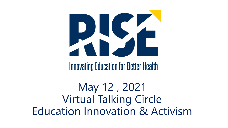

**Innovating Education for Better Health** 

May 12 , 2021 Virtual Talking Circle Education Innovation & Activism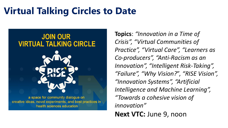## **Virtual Talking Circles to Date**



creative ideas, novel experiments, and best practices in health sciences education

**Topics**: *"Innovation in a Time of Crisis", "Virtual Communities of Practice", "Virtual Care", "Learners as Co-producers", "Anti-Racism as an Innovation", "Intelligent Risk-Taking", "Failure", "Why Vision?*", *"RISE Vision", "Innovation Systems", "Artificial Intelligence and Machine Learning", "Towards a cohesive vision of innovation"* **Next VTC: June 9, noon**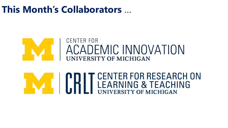#### **This Month's Collaborators** …

## **CENTER FOR** ACADEMIC INNOVATION

# **AND SOUTHER SEARCH ON SEARCH ON LEARNING & TEACHING**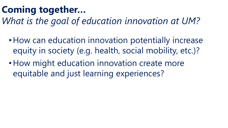## **Coming together…**

*What is the goal of education innovation at UM?*

- How can education innovation potentially increase equity in society (e.g. health, social mobility, etc.)?
- How might education innovation create more equitable and just learning experiences?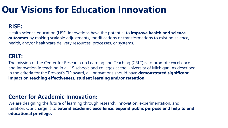### **Our Visions for Education Innovation**

#### **RISE:**

Health science education (HSE) innovations have the potential to **improve health and science outcomes** by making scalable adjustments, modifications or transformations to existing science, health, and/or healthcare delivery resources, processes, or systems.

#### **CRLT:**

The mission of the Center for Research on Learning and Teaching (CRLT) is to promote excellence and innovation in teaching in all 19 schools and colleges at the University of Michigan. As described in the criteria for the Provost's TIP award, all innovations should have **demonstrated significant impact on teaching effectiveness, student learning and/or retention.**

#### **Center for Academic Innovation:**

We are designing the future of learning through research, innovation, experimentation, and iteration. Our charge is to **extend academic excellence, expand public purpose and help to end educational privilege.**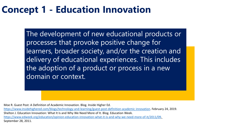#### **Concept 1 - Education Innovation**

The development of new educational products or processes that provoke positive change for learners, broader society, and/or the creation and delivery of educational experiences. This includes the adoption of a product or process in a new domain or context.

Moe R. Guest Post: A Definition of Academic Innovation. Blog. Inside Higher Ed.

[https://www.insidehighered.com/blogs/technology-and-learning/guest-post-definition-academic innovation](https://www.insidehighered.com/blogs/technology-and-learning/guest-post-definition-academic-innovation). February 24, 2019. Shelton J. Education Innovation: What It Is and Why We Need More of It. Blog. Education Week. [https://www.edweek.org/education/opinion-education-innovation-what-it-is-and-why-we-need-more-of-it/2011/09.](https://www.edweek.org/education/opinion-education-innovation-what-it-is-and-why-we-need-more-of-it/2011/09) September 28, 2011.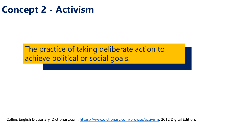#### **Concept 2 - Activism**

#### The practice of taking deliberate action to achieve political or social goals.

Collins English Dictionary. Dictionary.com. <https://www.dictionary.com/browse/activism>. 2012 Digital Edition.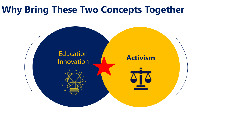#### **Why Bring These Two Concepts Together**

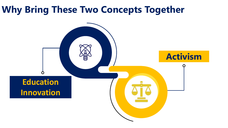#### **Why Bring These Two Concepts Together**

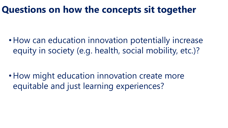#### **Questions on how the concepts sit together**

• How can education innovation potentially increase equity in society (e.g. health, social mobility, etc.)?

• How might education innovation create more equitable and just learning experiences?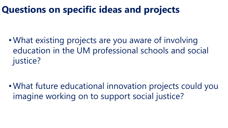### **Questions on specific ideas and projects**

• What existing projects are you aware of involving education in the UM professional schools and social justice?

• What future educational innovation projects could you imagine working on to support social justice?